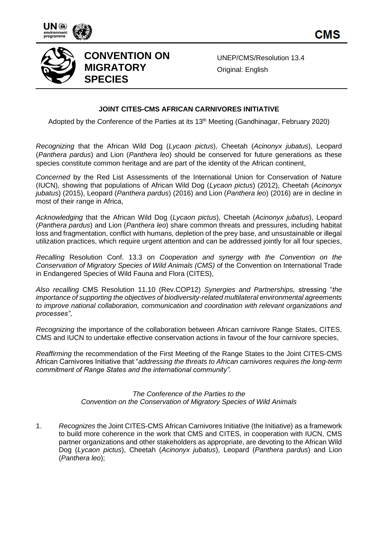

CMS



## **CONVENTION ON MIGRATORY SPECIES**

UNEP/CMS/Resolution 13.4 Original: English

## **JOINT CITES-CMS AFRICAN CARNIVORES INITIATIVE**

Adopted by the Conference of the Parties at its 13<sup>th</sup> Meeting (Gandhinagar, February 2020)

*Recognizing* that the African Wild Dog (*Lycaon pictus*), Cheetah (*Acinonyx jubatus*), Leopard (*Panthera pardus*) and Lion (*Panthera leo*) should be conserved for future generations as these species constitute common heritage and are part of the identity of the African continent,

*Concerned* by the Red List Assessments of the International Union for Conservation of Nature (IUCN), showing that populations of African Wild Dog (*Lycaon pictus*) (2012), Cheetah (*Acinonyx jubatus*) (2015), Leopard (*Panthera pardus*) (2016) and Lion (*Panthera leo*) (2016) are in decline in most of their range in Africa,

*Acknowledging* that the African Wild Dog (*Lycaon pictus*), Cheetah (*Acinonyx jubatus*), Leopard (*Panthera pardus*) and Lion (*Panthera leo*) share common threats and pressures, including habitat loss and fragmentation, conflict with humans, depletion of the prey base, and unsustainable or illegal utilization practices, which require urgent attention and can be addressed jointly for all four species,

*Recalling* Resolution Conf. 13.3 on *Cooperation and synergy with the Convention on the Conservation of Migratory Species of Wild Animals (CMS)* of the Convention on International Trade in Endangered Species of Wild Fauna and Flora (CITES),

*Also recalling* CMS Resolution 11.10 (Rev.COP12) *Synergies and Partnerships,* stressing "*the importance of supporting the objectives of biodiversity-related multilateral environmental agreements to improve national collaboration, communication and coordination with relevant organizations and processes"*,

*Recognizing* the importance of the collaboration between African carnivore Range States, CITES, CMS and IUCN to undertake effective conservation actions in favour of the four carnivore species,

*Reaffirming* the recommendation of the First Meeting of the Range States to the Joint CITES-CMS African Carnivores Initiative that "*addressing the threats to African carnivores requires the long-term commitment of Range States and the international community".*

> *The Conference of the Parties to the Convention on the Conservation of Migratory Species of Wild Animals*

1. *Recognizes* the Joint CITES-CMS African Carnivores Initiative (the Initiative) as a framework to build more coherence in the work that CMS and CITES, in cooperation with IUCN, CMS partner organizations and other stakeholders as appropriate, are devoting to the African Wild Dog (*Lycaon pictus*), Cheetah (*Acinonyx jubatus*), Leopard (*Panthera pardus*) and Lion (*Panthera leo*);